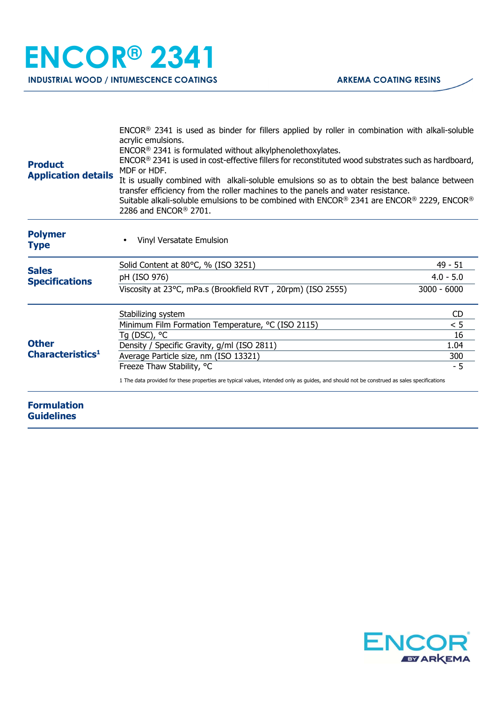| <b>Product</b><br><b>Application details</b> | $ENCOR®$ 2341 is used as binder for fillers applied by roller in combination with alkali-soluble<br>acrylic emulsions.<br>ENCOR <sup>®</sup> 2341 is formulated without alkylphenolethoxylates.<br>ENCOR® 2341 is used in cost-effective fillers for reconstituted wood substrates such as hardboard,<br>MDF or HDF.<br>It is usually combined with alkali-soluble emulsions so as to obtain the best balance between<br>transfer efficiency from the roller machines to the panels and water resistance.<br>Suitable alkali-soluble emulsions to be combined with ENCOR® 2341 are ENCOR® 2229, ENCOR®<br>2286 and ENCOR <sup>®</sup> 2701. |               |
|----------------------------------------------|---------------------------------------------------------------------------------------------------------------------------------------------------------------------------------------------------------------------------------------------------------------------------------------------------------------------------------------------------------------------------------------------------------------------------------------------------------------------------------------------------------------------------------------------------------------------------------------------------------------------------------------------|---------------|
| <b>Polymer</b><br><b>Type</b>                | Vinyl Versatate Emulsion                                                                                                                                                                                                                                                                                                                                                                                                                                                                                                                                                                                                                    |               |
| <b>Sales</b><br><b>Specifications</b>        | Solid Content at 80°C, % (ISO 3251)                                                                                                                                                                                                                                                                                                                                                                                                                                                                                                                                                                                                         | $49 - 51$     |
|                                              | pH (ISO 976)                                                                                                                                                                                                                                                                                                                                                                                                                                                                                                                                                                                                                                | $4.0 - 5.0$   |
|                                              | Viscosity at 23°C, mPa.s (Brookfield RVT, 20rpm) (ISO 2555)                                                                                                                                                                                                                                                                                                                                                                                                                                                                                                                                                                                 | $3000 - 6000$ |
| <b>Other</b><br>Characteristics <sup>1</sup> | Stabilizing system                                                                                                                                                                                                                                                                                                                                                                                                                                                                                                                                                                                                                          | CD            |
|                                              | Minimum Film Formation Temperature, °C (ISO 2115)                                                                                                                                                                                                                                                                                                                                                                                                                                                                                                                                                                                           | < 5           |
|                                              | Tg (DSC), °C                                                                                                                                                                                                                                                                                                                                                                                                                                                                                                                                                                                                                                | 16            |
|                                              | Density / Specific Gravity, g/ml (ISO 2811)                                                                                                                                                                                                                                                                                                                                                                                                                                                                                                                                                                                                 | 1.04          |
|                                              | Average Particle size, nm (ISO 13321)<br>Freeze Thaw Stability, °C                                                                                                                                                                                                                                                                                                                                                                                                                                                                                                                                                                          | 300<br>$-5$   |
|                                              | 1 The data provided for these properties are typical values, intended only as quides, and should not be construed as sales specifications                                                                                                                                                                                                                                                                                                                                                                                                                                                                                                   |               |
| <b>Formulation</b><br><b>Guidelines</b>      |                                                                                                                                                                                                                                                                                                                                                                                                                                                                                                                                                                                                                                             |               |